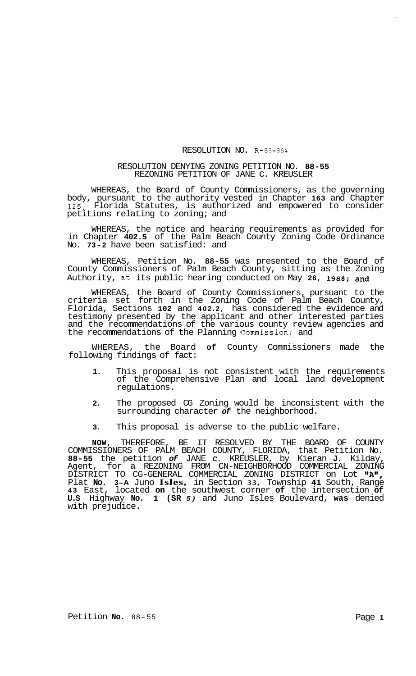## RESOLUTION NO. *R-89-964*

## RESOLUTION DENYING ZONING PETITION NO. **88-55**  REZONING PETITION OF JANE C. KREUSLER

WHEREAS, the Board of County Commissioners, as the governing body, pursuant to the authority vested in Chapter **163** and Chapter **125,** Florida Statutes, is authorized and empowered to consider petitions relating to zoning; and

WHEREAS, the notice and hearing requirements as provided for in Chapter **402.5** of the Palm Beach County Zoning Code Ordinance No. **73-2** have been satisfied: and

WHEREAS, Petition No. **88-55** was presented to the Board of County Commissioners of Palm Beach County, sitting as the Zoning Authority, at its public hearing conducted on May **26, 1988;** and

WHEREAS, the Board of County Commissioners, pursuant to the criteria set forth in the Zoning Code of Palm Beach County, Florida, Sections **102** and **402.2,** has considered the evidence and testimony presented by the applicant and other interested parties and the recommendations of the various county review agencies and the recommendations of the Planning Commission; and

WHEREAS, the Board **of** County Commissioners made the following findings of fact:

- **1.** This proposal is not consistent with the requirements of the Comprehensive Plan and local land development regulations.
- **2.** The proposed CG Zoning would be inconsistent with the surrounding character *of* the neighborhood.
- **3.** This proposal is adverse to the public welfare.

**NOW,** THEREFORE, BE IT RESOLVED BY THE BOARD OF COUNTY COMMISSIONERS OF PALM BEACH COUNTY, FLORIDA, that Petition No. **88-55** the petition *of* JANE *C.* KREUSLER, by Kieran **J.** Kilday, Agent, for a REZONING FROM CN-NEIGHBORHOOD COMMERCIAL ZONING DISTRICT TO CG-GENERAL COMMERCIAL ZONING DISTRICT on Lot I1AI1 Plat **No. 3-A** Juno **Isles,** in Section **33,** Township **41** South, Range **43** East, located **on** the southwest corner **of** the intersection **of U.S** Highway **No. 1 (SR** *5)* and Juno Isles Boulevard, **was** denied with prejudice. *I*